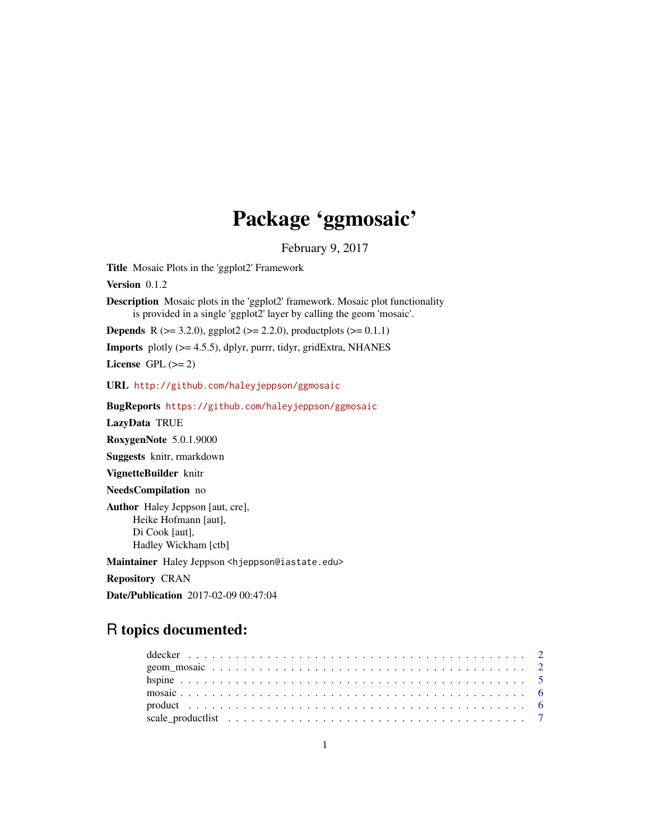# Package 'ggmosaic'

February 9, 2017

<span id="page-0-0"></span>Title Mosaic Plots in the 'ggplot2' Framework

Version 0.1.2

Description Mosaic plots in the 'ggplot2' framework. Mosaic plot functionality is provided in a single 'ggplot2' layer by calling the geom 'mosaic'.

**Depends** R ( $>= 3.2.0$ ), ggplot2 ( $>= 2.2.0$ ), productplots ( $>= 0.1.1$ )

Imports plotly (>= 4.5.5), dplyr, purrr, tidyr, gridExtra, NHANES

License GPL  $(>= 2)$ 

URL <http://github.com/haleyjeppson/ggmosaic>

BugReports <https://github.com/haleyjeppson/ggmosaic>

LazyData TRUE

RoxygenNote 5.0.1.9000

Suggests knitr, rmarkdown

VignetteBuilder knitr

NeedsCompilation no

Author Haley Jeppson [aut, cre], Heike Hofmann [aut], Di Cook [aut], Hadley Wickham [ctb]

Maintainer Haley Jeppson <hjeppson@iastate.edu>

Repository CRAN

Date/Publication 2017-02-09 00:47:04

# R topics documented: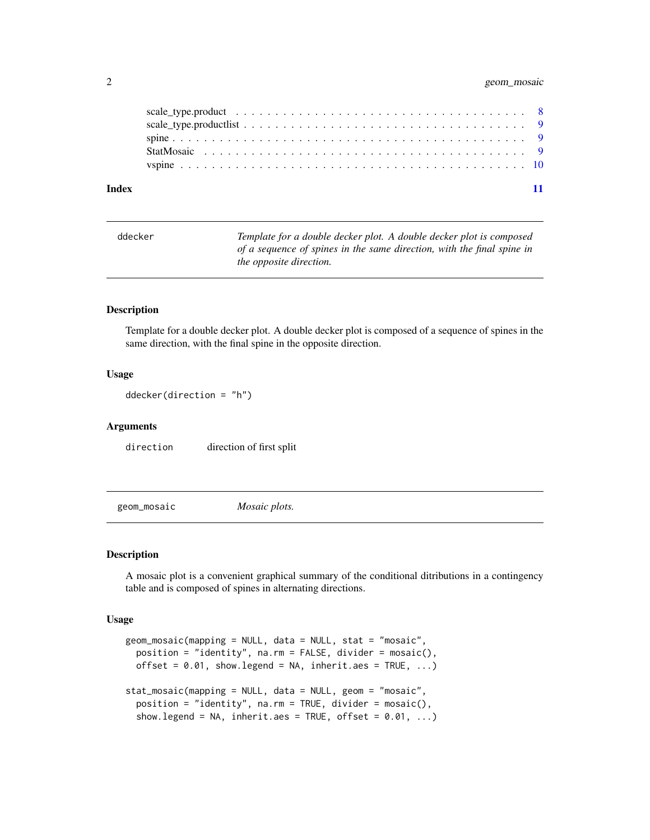#### <span id="page-1-0"></span>2 geom\_mosaic

| Index |  |  |  |  |  |  |  |  |  |  |  |  |  |  |  |  |  |
|-------|--|--|--|--|--|--|--|--|--|--|--|--|--|--|--|--|--|

| ddecker | Template for a double decker plot. A double decker plot is composed    |
|---------|------------------------------------------------------------------------|
|         | of a sequence of spines in the same direction, with the final spine in |
|         | the opposite direction.                                                |

### Description

Template for a double decker plot. A double decker plot is composed of a sequence of spines in the same direction, with the final spine in the opposite direction.

#### Usage

```
ddecker(direction = "h")
```
#### Arguments

direction direction of first split

geom\_mosaic *Mosaic plots.*

#### Description

A mosaic plot is a convenient graphical summary of the conditional ditributions in a contingency table and is composed of spines in alternating directions.

#### Usage

```
geom_mosaic(mapping = NULL, data = NULL, stat = "mosaic",
 position = "identity", na.rm = FALSE, divider = mosaic(),
 offset = 0.01, show.legend = NA, inherit.aes = TRUE, ...)
stat_mosaic(mapping = NULL, data = NULL, geom = "mosaic",
 position = "identity", na.rm = TRUE, divider = mosaic(),
  show.legend = NA, inherit.aes = TRUE, offset = 0.01, ...)
```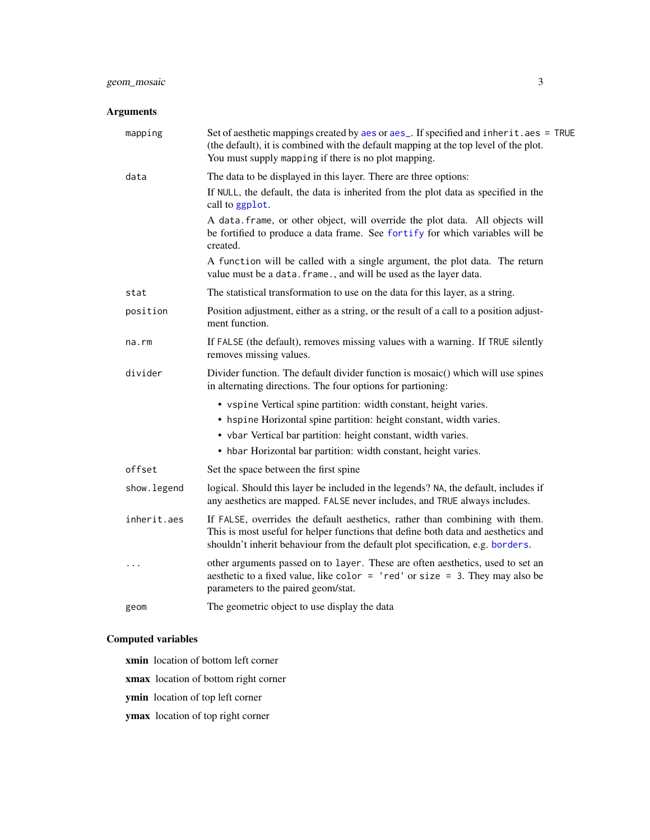# <span id="page-2-0"></span>geom\_mosaic 3

# Arguments

| mapping     | Set of aesthetic mappings created by aes or aes_. If specified and inherit.aes = TRUE<br>(the default), it is combined with the default mapping at the top level of the plot.<br>You must supply mapping if there is no plot mapping.                                        |
|-------------|------------------------------------------------------------------------------------------------------------------------------------------------------------------------------------------------------------------------------------------------------------------------------|
| data        | The data to be displayed in this layer. There are three options:                                                                                                                                                                                                             |
|             | If NULL, the default, the data is inherited from the plot data as specified in the<br>call to ggplot.                                                                                                                                                                        |
|             | A data. frame, or other object, will override the plot data. All objects will<br>be fortified to produce a data frame. See fortify for which variables will be<br>created.                                                                                                   |
|             | A function will be called with a single argument, the plot data. The return<br>value must be a data. frame., and will be used as the layer data.                                                                                                                             |
| stat        | The statistical transformation to use on the data for this layer, as a string.                                                                                                                                                                                               |
| position    | Position adjustment, either as a string, or the result of a call to a position adjust-<br>ment function.                                                                                                                                                                     |
| na.rm       | If FALSE (the default), removes missing values with a warning. If TRUE silently<br>removes missing values.                                                                                                                                                                   |
| divider     | Divider function. The default divider function is mosaic() which will use spines<br>in alternating directions. The four options for partioning:                                                                                                                              |
|             | • vspine Vertical spine partition: width constant, height varies.<br>• hspine Horizontal spine partition: height constant, width varies.<br>• vbar Vertical bar partition: height constant, width varies.<br>• hbar Horizontal bar partition: width constant, height varies. |
| offset      | Set the space between the first spine                                                                                                                                                                                                                                        |
| show.legend | logical. Should this layer be included in the legends? NA, the default, includes if<br>any aesthetics are mapped. FALSE never includes, and TRUE always includes.                                                                                                            |
| inherit.aes | If FALSE, overrides the default aesthetics, rather than combining with them.<br>This is most useful for helper functions that define both data and aesthetics and<br>shouldn't inherit behaviour from the default plot specification, e.g. borders.                          |
| $\cdots$    | other arguments passed on to layer. These are often aesthetics, used to set an<br>aesthetic to a fixed value, like color = $'$ red' or size = 3. They may also be<br>parameters to the paired geom/stat.                                                                     |
| geom        | The geometric object to use display the data                                                                                                                                                                                                                                 |

# Computed variables

- xmin location of bottom left corner
- xmax location of bottom right corner
- ymin location of top left corner
- ymax location of top right corner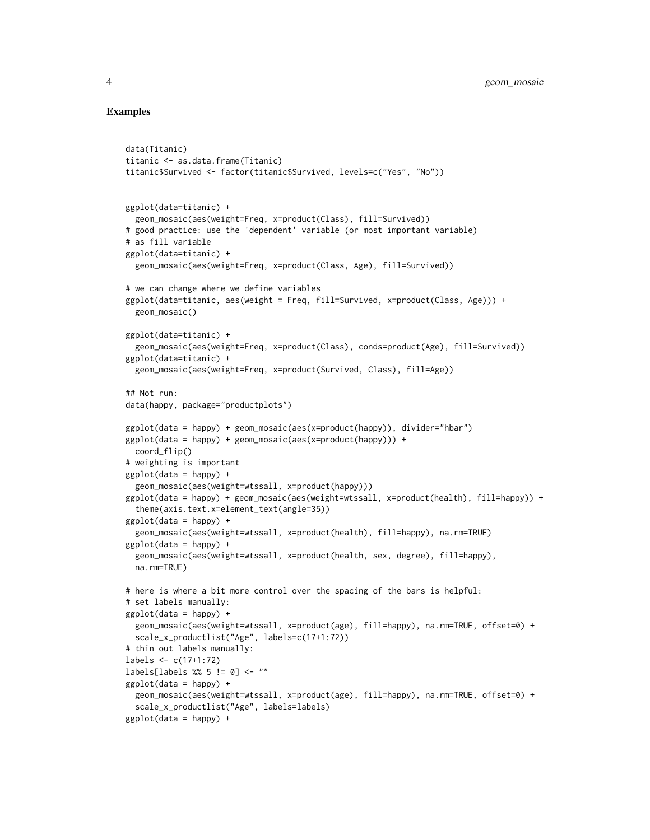#### Examples

data(Titanic)

```
titanic <- as.data.frame(Titanic)
titanic$Survived <- factor(titanic$Survived, levels=c("Yes", "No"))
ggplot(data=titanic) +
 geom_mosaic(aes(weight=Freq, x=product(Class), fill=Survived))
# good practice: use the 'dependent' variable (or most important variable)
# as fill variable
ggplot(data=titanic) +
 geom_mosaic(aes(weight=Freq, x=product(Class, Age), fill=Survived))
# we can change where we define variables
ggplot(data=titanic, aes(weight = Freq, fill=Survived, x=product(Class, Age))) +
 geom_mosaic()
ggplot(data=titanic) +
 geom_mosaic(aes(weight=Freq, x=product(Class), conds=product(Age), fill=Survived))
ggplot(data=titanic) +
 geom_mosaic(aes(weight=Freq, x=product(Survived, Class), fill=Age))
## Not run:
data(happy, package="productplots")
ggplot(data = happy) + geom_mosaic(aes(x=product(happy)), divider="hbar")
ggplot(data = happy) + geom\_mosaic(aes(x=product(happy))) +coord_flip()
# weighting is important
ggplot(data = happy) +geom_mosaic(aes(weight=wtssall, x=product(happy)))
ggplot(data = happy) + geom_mosaic(aes(weight=wtssall, x=product(health), fill=happy)) +
  theme(axis.text.x=element_text(angle=35))
ggplot(data = happy) +geom_mosaic(aes(weight=wtssall, x=product(health), fill=happy), na.rm=TRUE)
ggplot(data = happy) +geom_mosaic(aes(weight=wtssall, x=product(health, sex, degree), fill=happy),
 na.rm=TRUE)
# here is where a bit more control over the spacing of the bars is helpful:
# set labels manually:
ggplot(data = happy) +
 geom_mosaic(aes(weight=wtssall, x=product(age), fill=happy), na.rm=TRUE, offset=0) +
 scale_x_productlist("Age", labels=c(17+1:72))
# thin out labels manually:
labels <- c(17+1:72)
labels[labels %% 5 != 0] <- ""
ggplot(data = happy) +geom_mosaic(aes(weight=wtssall, x=product(age), fill=happy), na.rm=TRUE, offset=0) +
 scale_x_productlist("Age", labels=labels)
ggplot(data = happy) +
```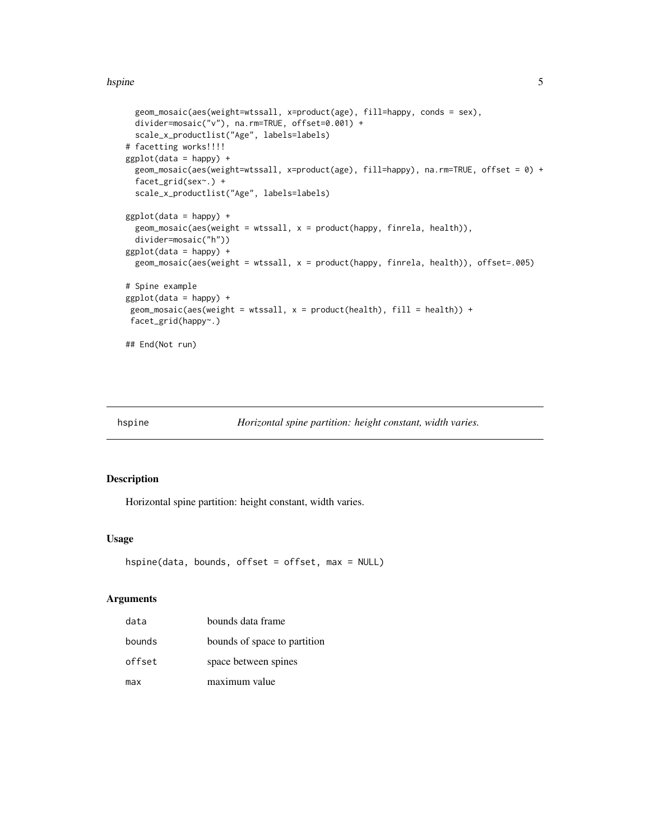#### <span id="page-4-0"></span>hspine 55

```
geom_mosaic(aes(weight=wtssall, x=product(age), fill=happy, conds = sex),
 divider=mosaic("v"), na.rm=TRUE, offset=0.001) +
 scale_x_productlist("Age", labels=labels)
# facetting works!!!!
ggplot(data = happy) +geom_mosaic(aes(weight=wtssall, x=product(age), fill=happy), na.rm=TRUE, offset = 0) +
 facet_grid(sex~.) +
 scale_x_productlist("Age", labels=labels)
ggplot(data = happy) +geom_mosaic(aes(weight = wtssall, x = product(happy, finerla, health)),divider=mosaic("h"))
ggplot(data = happy) +geom_mosaic(aes(weight = wtssall, x = product(happy, finrela, health)), offset=.005)
# Spine example
ggplot(data = happy) +
geom_mosaic(aes(weight = wtssall, x = product(health), fill = health)) +
facet_grid(happy~.)
## End(Not run)
```
hspine *Horizontal spine partition: height constant, width varies.*

#### Description

Horizontal spine partition: height constant, width varies.

#### Usage

```
hspine(data, bounds, offset = offset, max = NULL)
```
#### Arguments

| data   | bounds data frame            |
|--------|------------------------------|
| bounds | bounds of space to partition |
| offset | space between spines         |
| max    | maximum value                |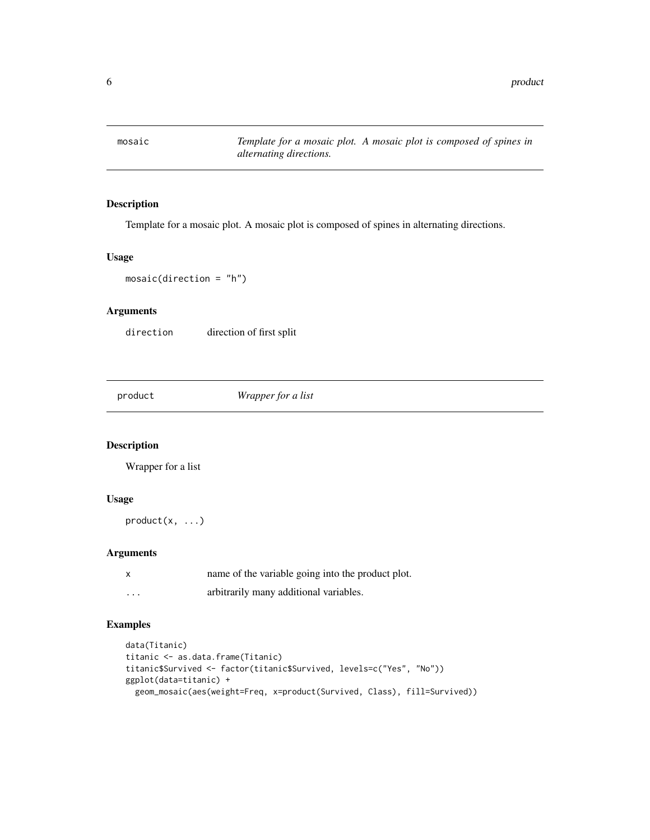<span id="page-5-0"></span>

#### Description

Template for a mosaic plot. A mosaic plot is composed of spines in alternating directions.

#### Usage

```
mosaic(direction = "h")
```
#### Arguments

direction direction of first split

product *Wrapper for a list*

#### Description

Wrapper for a list

#### Usage

product(x, ...)

### Arguments

| x        | name of the variable going into the product plot. |
|----------|---------------------------------------------------|
| $\cdots$ | arbitrarily many additional variables.            |

#### Examples

```
data(Titanic)
titanic <- as.data.frame(Titanic)
titanic$Survived <- factor(titanic$Survived, levels=c("Yes", "No"))
ggplot(data=titanic) +
 geom_mosaic(aes(weight=Freq, x=product(Survived, Class), fill=Survived))
```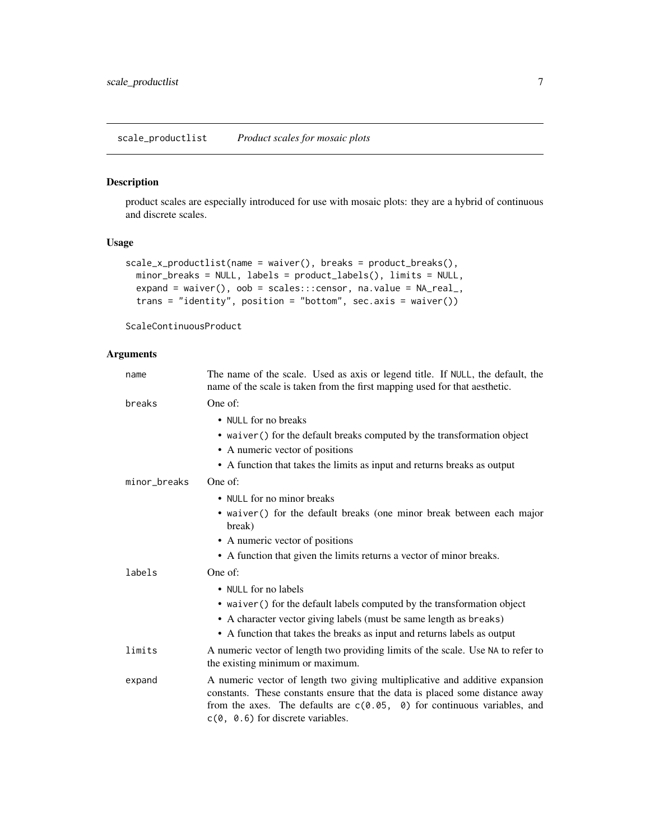#### <span id="page-6-0"></span>Description

product scales are especially introduced for use with mosaic plots: they are a hybrid of continuous and discrete scales.

#### Usage

```
scale_x_productlist(name = waiver(), breaks = product_breaks(),
 minor_breaks = NULL, labels = product_labels(), limits = NULL,
 expand = waiver(), oob = scales:::censor, na.value = NA\_real,
 trans = "identity", position = "bottom", sec.axis = waiver())
```
ScaleContinuousProduct

#### Arguments

| name         | The name of the scale. Used as axis or legend title. If NULL, the default, the<br>name of the scale is taken from the first mapping used for that aesthetic.                                                                                                                     |
|--------------|----------------------------------------------------------------------------------------------------------------------------------------------------------------------------------------------------------------------------------------------------------------------------------|
| breaks       | One of:                                                                                                                                                                                                                                                                          |
|              | • NULL for no breaks<br>• waiver () for the default breaks computed by the transformation object<br>• A numeric vector of positions<br>• A function that takes the limits as input and returns breaks as output                                                                  |
| minor_breaks | One of:                                                                                                                                                                                                                                                                          |
|              | • NULL for no minor breaks                                                                                                                                                                                                                                                       |
|              | • waiver () for the default breaks (one minor break between each major<br>break)                                                                                                                                                                                                 |
|              | • A numeric vector of positions                                                                                                                                                                                                                                                  |
|              | • A function that given the limits returns a vector of minor breaks.                                                                                                                                                                                                             |
| labels       | One of:                                                                                                                                                                                                                                                                          |
|              | • NULL for no labels                                                                                                                                                                                                                                                             |
|              | • waiver () for the default labels computed by the transformation object                                                                                                                                                                                                         |
|              | • A character vector giving labels (must be same length as breaks)                                                                                                                                                                                                               |
|              | • A function that takes the breaks as input and returns labels as output                                                                                                                                                                                                         |
| limits       | A numeric vector of length two providing limits of the scale. Use NA to refer to<br>the existing minimum or maximum.                                                                                                                                                             |
| expand       | A numeric vector of length two giving multiplicative and additive expansion<br>constants. These constants ensure that the data is placed some distance away<br>from the axes. The defaults are $c(0.05, 0)$ for continuous variables, and<br>$c(0, 0.6)$ for discrete variables. |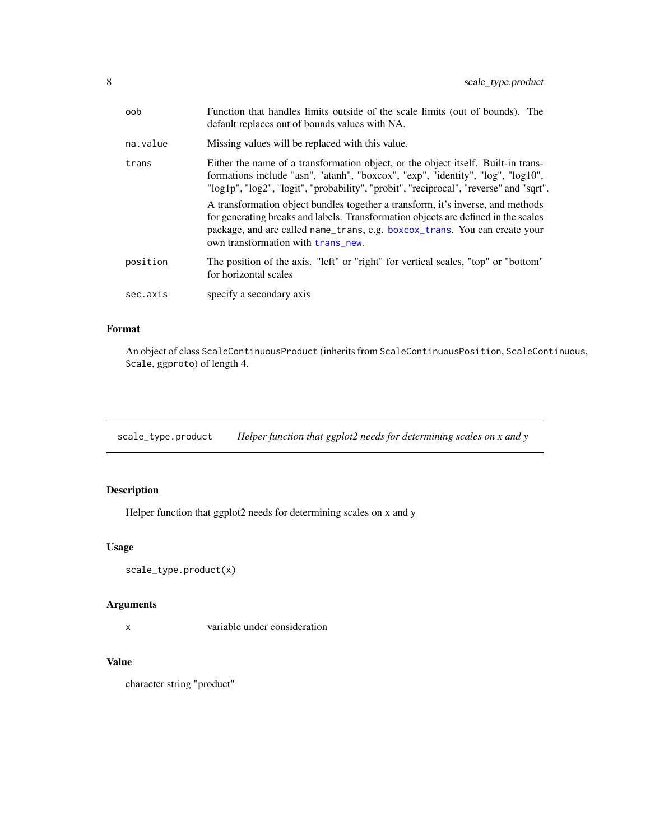<span id="page-7-0"></span>

| oob      | Function that handles limits outside of the scale limits (out of bounds). The<br>default replaces out of bounds values with NA.                                                                                                                                                                   |
|----------|---------------------------------------------------------------------------------------------------------------------------------------------------------------------------------------------------------------------------------------------------------------------------------------------------|
| na.value | Missing values will be replaced with this value.                                                                                                                                                                                                                                                  |
| trans    | Either the name of a transformation object, or the object itself. Built-in trans-<br>formations include "asn", "atanh", "boxcox", "exp", "identity", "log", "log10",<br>"log1p", "log2", "logit", "probability", "probit", "reciprocal", "reverse" and "sqrt".                                    |
|          | A transformation object bundles together a transform, it's inverse, and methods<br>for generating breaks and labels. Transformation objects are defined in the scales<br>package, and are called name_trans, e.g. boxcox_trans. You can create your<br>own transformation with <b>trans_new</b> . |
| position | The position of the axis. "left" or "right" for vertical scales, "top" or "bottom"<br>for horizontal scales                                                                                                                                                                                       |
| sec.axis | specify a secondary axis                                                                                                                                                                                                                                                                          |

### Format

An object of class ScaleContinuousProduct (inherits from ScaleContinuousPosition, ScaleContinuous, Scale, ggproto) of length 4.

scale\_type.product *Helper function that ggplot2 needs for determining scales on x and y*

# Description

Helper function that ggplot2 needs for determining scales on x and y

#### Usage

```
scale_type.product(x)
```
#### Arguments

x variable under consideration

#### Value

character string "product"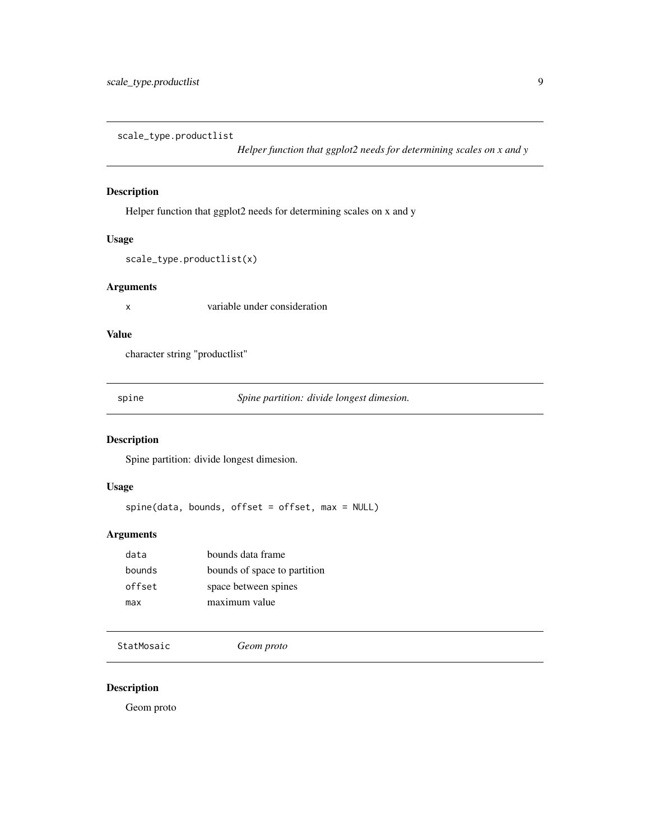<span id="page-8-0"></span>scale\_type.productlist

*Helper function that ggplot2 needs for determining scales on x and y*

#### Description

Helper function that ggplot2 needs for determining scales on x and y

#### Usage

```
scale_type.productlist(x)
```
#### Arguments

x variable under consideration

## Value

character string "productlist"

spine *Spine partition: divide longest dimesion.*

#### Description

Spine partition: divide longest dimesion.

#### Usage

spine(data, bounds, offset = offset, max = NULL)

#### Arguments

| data   | bounds data frame            |
|--------|------------------------------|
| bounds | bounds of space to partition |
| offset | space between spines         |
| max    | maximum value                |
|        |                              |

StatMosaic *Geom proto*

#### Description

Geom proto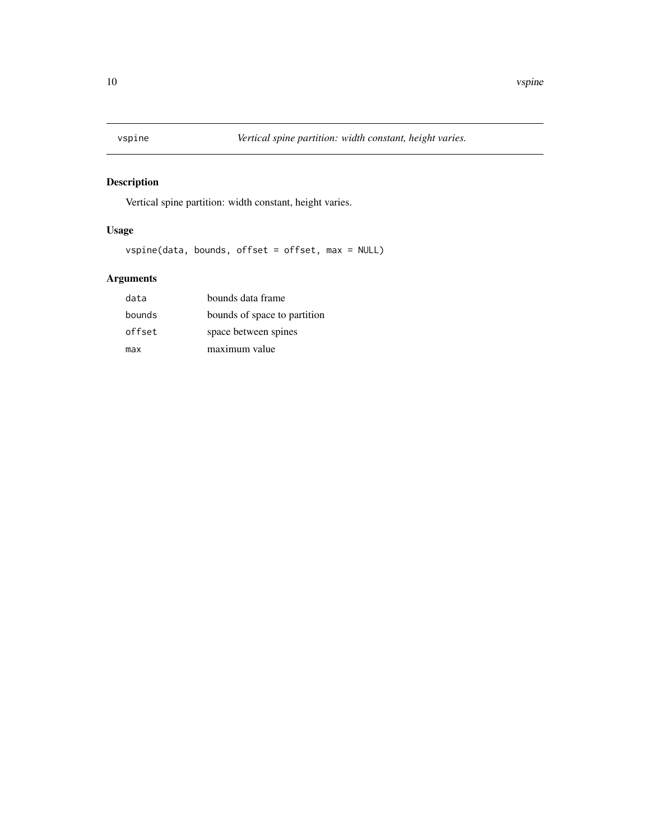<span id="page-9-0"></span>

# Description

Vertical spine partition: width constant, height varies.

# Usage

vspine(data, bounds, offset = offset, max = NULL)

# Arguments

| data   | bounds data frame            |
|--------|------------------------------|
| bounds | bounds of space to partition |
| offset | space between spines         |
| max    | maximum value                |